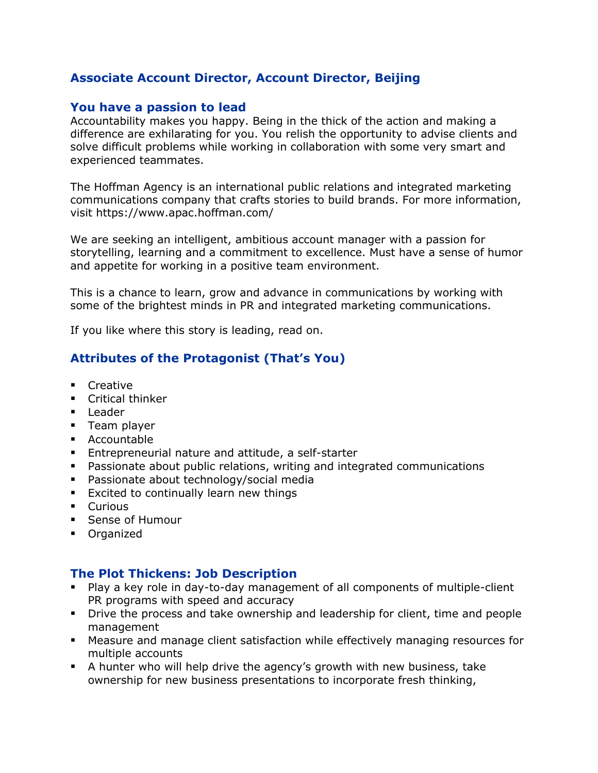# **Associate Account Director, Account Director, Beijing**

#### **You have a passion to lead**

Accountability makes you happy. Being in the thick of the action and making a difference are exhilarating for you. You relish the opportunity to advise clients and solve difficult problems while working in collaboration with some very smart and experienced teammates.

The Hoffman Agency is an international public relations and integrated marketing communications company that crafts stories to build brands. For more information, visit https://www.apac.hoffman.com/

We are seeking an intelligent, ambitious account manager with a passion for storytelling, learning and a commitment to excellence. Must have a sense of humor and appetite for working in a positive team environment.

This is a chance to learn, grow and advance in communications by working with some of the brightest minds in PR and integrated marketing communications.

If you like where this story is leading, read on.

## **Attributes of the Protagonist (That's You)**

- Creative
- Critical thinker
- Leader
- Team player
- **E** Accountable
- Entrepreneurial nature and attitude, a self-starter
- **•** Passionate about public relations, writing and integrated communications
- Passionate about technology/social media
- **Excited to continually learn new things**
- Curious
- Sense of Humour
- **•** Organized

#### **The Plot Thickens: Job Description**

- Play a key role in day-to-day management of all components of multiple-client PR programs with speed and accuracy
- **•** Drive the process and take ownership and leadership for client, time and people management
- Measure and manage client satisfaction while effectively managing resources for multiple accounts
- **E** A hunter who will help drive the agency's growth with new business, take ownership for new business presentations to incorporate fresh thinking,